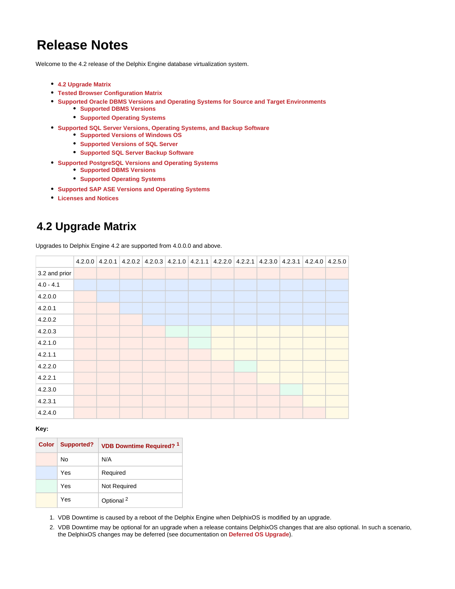# **Release Notes**

Welcome to the 4.2 release of the Delphix Engine database virtualization system.

- **[4.2 Upgrade Matrix](#page-0-0)**
- **[Tested Browser Configuration Matrix](#page-1-0)**
- **[Supported Oracle DBMS Versions and Operating Systems for Source and Target Environments](#page-1-1)**
	- **[Supported DBMS Versions](#page-1-2)**
	- **[Supported Operating Systems](#page-1-3)**
- **[Supported SQL Server Versions, Operating Systems, and Backup Software](#page-2-0)**
	- **[Supported Versions of Windows OS](#page-2-1)**
	- **[Supported Versions of SQL Server](#page-2-2)**
	- **[Supported SQL Server Backup Software](#page-2-3)**
- **[Supported PostgreSQL Versions and Operating Systems](#page-3-0)** 
	- **[Supported DBMS Versions](#page-3-1)**
	- **[Supported Operating Systems](#page-3-2)**
- **[Supported SAP ASE Versions and Operating Systems](#page-3-3)**
- **[Licenses and Notices](#page-4-0)**

# <span id="page-0-0"></span>**4.2 Upgrade Matrix**

Upgrades to Delphix Engine 4.2 are supported from 4.0.0.0 and above.

|               |  | 4.2.0.0 4.2.0.1 4.2.0.2 4.2.0.3 4.2.1.0 4.2.1.1 4.2.2.0 4.2.2.1 4.2.3.0 4.2.3.1 4.2.4.0 4.2.5.0 |  |  |  |  |  |
|---------------|--|-------------------------------------------------------------------------------------------------|--|--|--|--|--|
| 3.2 and prior |  |                                                                                                 |  |  |  |  |  |
| $4.0 - 4.1$   |  |                                                                                                 |  |  |  |  |  |
| 4.2.0.0       |  |                                                                                                 |  |  |  |  |  |
| 4.2.0.1       |  |                                                                                                 |  |  |  |  |  |
| 4.2.0.2       |  |                                                                                                 |  |  |  |  |  |
| 4.2.0.3       |  |                                                                                                 |  |  |  |  |  |
| 4.2.1.0       |  |                                                                                                 |  |  |  |  |  |
| 4.2.1.1       |  |                                                                                                 |  |  |  |  |  |
| 4.2.2.0       |  |                                                                                                 |  |  |  |  |  |
| 4.2.2.1       |  |                                                                                                 |  |  |  |  |  |
| 4.2.3.0       |  |                                                                                                 |  |  |  |  |  |
| 4.2.3.1       |  |                                                                                                 |  |  |  |  |  |
| 4.2.4.0       |  |                                                                                                 |  |  |  |  |  |

#### **Key:**

| <b>Color</b> | <b>Supported?</b> | <b>VDB Downtime Required?</b> 1 |  |
|--------------|-------------------|---------------------------------|--|
|              | No                | N/A                             |  |
|              | Yes               | Required                        |  |
|              | Yes               | Not Required                    |  |
|              | Yes               | Optional <sup>2</sup>           |  |

1. VDB Downtime is caused by a reboot of the Delphix Engine when DelphixOS is modified by an upgrade.

2. VDB Downtime may be optional for an upgrade when a release contains DelphixOS changes that are also optional. In such a scenario, the DelphixOS changes may be deferred (see documentation on **[Deferred OS Upgrade](http://docs.delphix.com/display/DOCS42/Upgrading+or+Patching+a+New+Version+of+the+Delphix+Engine#UpgradingorPatchingaNewVersionoftheDelphixEngine-DeferredOSUpgrade)**).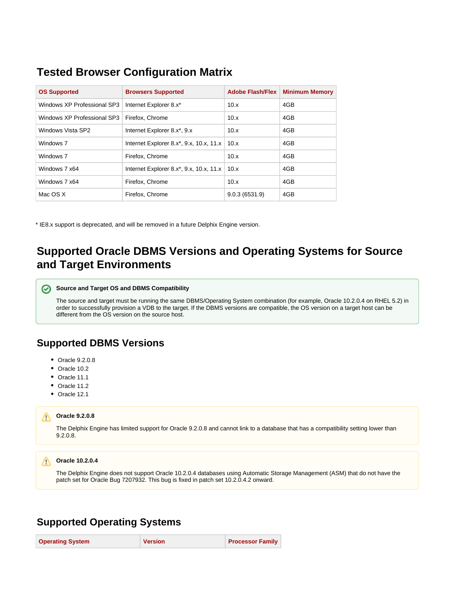# <span id="page-1-0"></span>**Tested Browser Configuration Matrix**

| <b>OS Supported</b>         | <b>Browsers Supported</b>                                   | <b>Adobe Flash/Flex</b> | <b>Minimum Memory</b> |
|-----------------------------|-------------------------------------------------------------|-------------------------|-----------------------|
| Windows XP Professional SP3 | Internet Explorer 8.x*                                      | 10.x                    | 4GB                   |
| Windows XP Professional SP3 | Firefox, Chrome                                             | 10.x                    | 4GB                   |
| Windows Vista SP2           | Internet Explorer 8.x*, 9.x                                 | 10.x                    | 4GB                   |
| Windows 7                   | Internet Explorer 8.x*, 9.x, 10.x, 11.x                     | 10.x                    | 4GB                   |
| Windows 7                   | Firefox, Chrome                                             | 10.x                    | 4GB                   |
| Windows 7 x64               | Internet Explorer 8.x <sup>*</sup> , 9.x, 10.x, 11.x   10.x |                         | 4GB                   |
| Windows 7 x64               | Firefox, Chrome                                             | 10.x                    | 4GB                   |
| Mac OS X                    | Firefox, Chrome                                             | 9.0.3(6531.9)           | 4GB                   |

\* IE8.x support is deprecated, and will be removed in a future Delphix Engine version.

# <span id="page-1-1"></span>**Supported Oracle DBMS Versions and Operating Systems for Source and Target Environments**

#### の **Source and Target OS and DBMS Compatibility**

The source and target must be running the same DBMS/Operating System combination (for example, Oracle 10.2.0.4 on RHEL 5.2) in order to successfully provision a VDB to the target. If the DBMS versions are compatible, the OS version on a target host can be different from the OS version on the source host.

## <span id="page-1-2"></span>**Supported DBMS Versions**

- Oracle 9.2.0.8
- Oracle 10.2
- Oracle 11.1
- Oracle 11.2
- Oracle 12.1

### **Oracle 9.2.0.8**

The Delphix Engine has limited support for Oracle 9.2.0.8 and cannot link to a database that has a compatibility setting lower than 9.2.0.8.

#### **Oracle 10.2.0.4**

The Delphix Engine does not support Oracle 10.2.0.4 databases using Automatic Storage Management (ASM) that do not have the patch set for Oracle Bug 7207932. This bug is fixed in patch set 10.2.0.4.2 onward.

## <span id="page-1-3"></span>**Supported Operating Systems**

| <b>Operating System</b> | <b>Version</b> | <b>Processor Family</b> |
|-------------------------|----------------|-------------------------|
|-------------------------|----------------|-------------------------|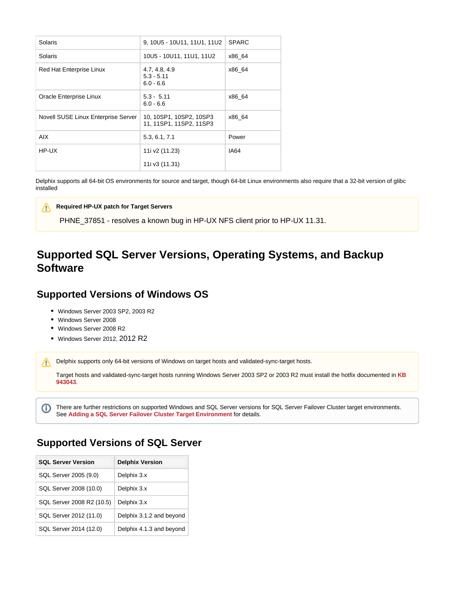| <b>Solaris</b>                      | 9, 10U5 - 10U11, 11U1, 11U2                        | <b>SPARC</b> |
|-------------------------------------|----------------------------------------------------|--------------|
| <b>Solaris</b>                      | 10U5 - 10U11, 11U1, 11U2                           | x86 64       |
| Red Hat Enterprise Linux            | 4.7, 4.8, 4.9<br>$5.3 - 5.11$<br>$6.0 - 6.6$       | x86 64       |
| Oracle Enterprise Linux             | $5.3 - 5.11$<br>$6.0 - 6.6$                        | x86 64       |
| Novell SUSE Linux Enterprise Server | 10, 10SP1, 10SP2, 10SP3<br>11, 11SP1, 11SP2, 11SP3 | x86 64       |
| AIX.                                | 5.3, 6.1, 7.1                                      | Power        |
| HP-UX                               | 11i v2 (11.23)                                     | IA64         |
|                                     | 11i v3 (11.31)                                     |              |

Delphix supports all 64-bit OS environments for source and target, though 64-bit Linux environments also require that a 32-bit version of glibc installed

#### **Required HP-UX patch for Target Servers** Λ

PHNE\_37851 - resolves a known bug in HP-UX NFS client prior to HP-UX 11.31.

# <span id="page-2-0"></span>**Supported SQL Server Versions, Operating Systems, and Backup Software**

### <span id="page-2-1"></span>**Supported Versions of Windows OS**

- Windows Server 2003 SP2, 2003 R2
- Windows Server 2008
- Windows Server 2008 R2
- Windows Server 2012, 2012 R2

Delphix supports only 64-bit versions of Windows on target hosts and validated-sync-target hosts.

Target hosts and validated-sync-target hosts running Windows Server 2003 SP2 or 2003 R2 must install the hotfix documented in **[KB](http://support.microsoft.com/kb/943043)  [943043](http://support.microsoft.com/kb/943043)**.

There are further restrictions on supported Windows and SQL Server versions for SQL Server Failover Cluster target environments. O) See **[Adding a SQL Server Failover Cluster Target Environment](https://docs.delphix.com/display/DOCS42/Adding+a+SQL+Server+Failover+Cluster+Target+Environment)** for details.

## <span id="page-2-2"></span>**Supported Versions of SQL Server**

<span id="page-2-3"></span>

| <b>SQL Server Version</b> | <b>Delphix Version</b>   |
|---------------------------|--------------------------|
| SQL Server 2005 (9.0)     | Delphix 3.x              |
| SQL Server 2008 (10.0)    | Delphix 3.x              |
| SQL Server 2008 R2 (10.5) | Delphix 3.x              |
| SQL Server 2012 (11.0)    | Delphix 3.1.2 and beyond |
| SQL Server 2014 (12.0)    | Delphix 4.1.3 and beyond |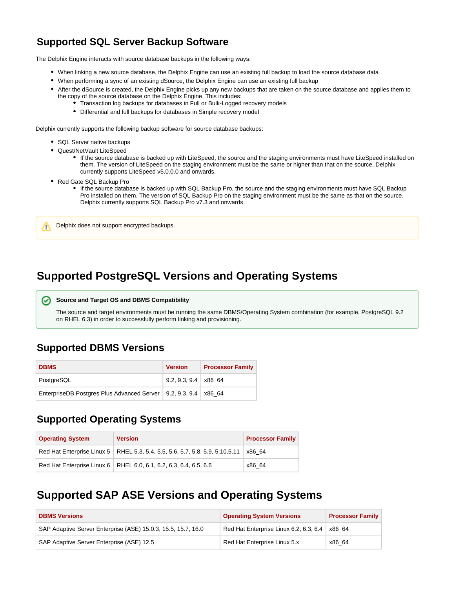## **Supported SQL Server Backup Software**

The Delphix Engine interacts with source database backups in the following ways:

- When linking a new source database, the Delphix Engine can use an existing full backup to load the source database data
- When performing a sync of an existing dSource, the Delphix Engine can use an existing full backup
- After the dSource is created, the Delphix Engine picks up any new backups that are taken on the source database and applies them to the copy of the source database on the Delphix Engine. This includes:
	- Transaction log backups for databases in Full or Bulk-Logged recovery models
	- Differential and full backups for databases in Simple recovery model

Delphix currently supports the following backup software for source database backups:

- SQL Server native backups
- Quest/NetVault LiteSpeed
	- If the source database is backed up with LiteSpeed, the source and the staging environments must have LiteSpeed installed on them. The version of LiteSpeed on the staging environment must be the same or higher than that on the source. Delphix currently supports LiteSpeed v5.0.0.0 and onwards.
- Red Gate SQL Backup Pro

m

If the source database is backed up with SQL Backup Pro, the source and the staging environments must have SQL Backup Pro installed on them. The version of SQL Backup Pro on the staging environment must be the same as that on the source. Delphix currently supports SQL Backup Pro v7.3 and onwards.

Delphix does not support encrypted backups.

## <span id="page-3-0"></span>**Supported PostgreSQL Versions and Operating Systems**

#### **Source and Target OS and DBMS Compatibility**

The source and target environments must be running the same DBMS/Operating System combination (for example, PostgreSQL 9.2 on RHEL 6.3) in order to successfully perform linking and provisioning.

## <span id="page-3-1"></span>**Supported DBMS Versions**

| <b>DBMS</b>                                                         | <b>Version</b>             | <b>Processor Family</b> |
|---------------------------------------------------------------------|----------------------------|-------------------------|
| PostgreSQL                                                          | $9.2.9.3.9.4 \times 86.64$ |                         |
| EnterpriseDB Postgres Plus Advanced Server   9.2, 9.3, 9.4   x86_64 |                            |                         |

## <span id="page-3-2"></span>**Supported Operating Systems**

| <b>Operating System</b> | <b>Version</b>                                                                  | <b>Processor Family</b> |
|-------------------------|---------------------------------------------------------------------------------|-------------------------|
|                         | Red Hat Enterprise Linux 5   RHEL 5.3, 5.4, 5.5, 5.6, 5.7, 5.8, 5.9, 5.10, 5.11 | x86 64                  |
|                         | Red Hat Enterprise Linux 6   RHEL 6.0, 6.1, 6.2, 6.3, 6.4, 6.5, 6.6             | x86 64                  |

## <span id="page-3-3"></span>**Supported SAP ASE Versions and Operating Systems**

| <b>DBMS Versions</b>                                          | <b>Operating System Versions</b>                      | <b>Processor Family</b> |
|---------------------------------------------------------------|-------------------------------------------------------|-------------------------|
| SAP Adaptive Server Enterprise (ASE) 15.0.3, 15.5, 15.7, 16.0 | Red Hat Enterprise Linux 6.2, 6.3, 6.4 $\vert$ x86 64 |                         |
| SAP Adaptive Server Enterprise (ASE) 12.5                     | Red Hat Enterprise Linux 5.x                          | x86 64                  |